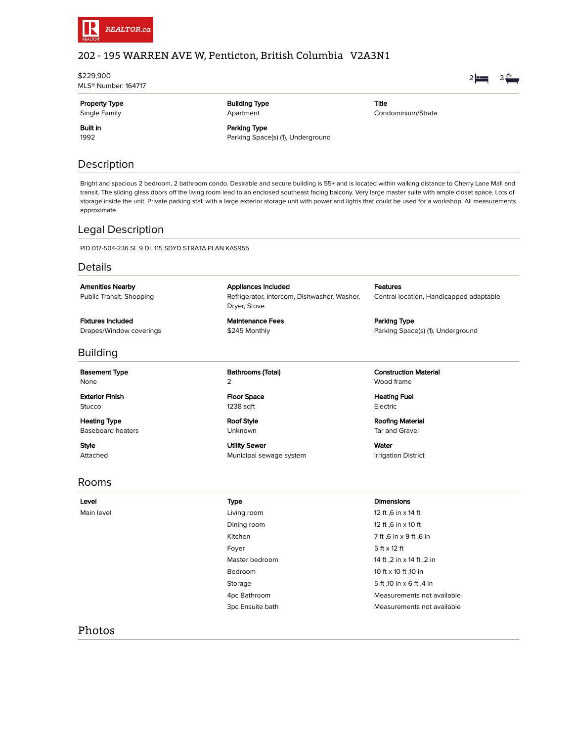

# 202 - 195 WARREN AVE W, Penticton, British Columbia V2A3N1

\$229,900 MLS® Number: 164717 Property Type Single Family Building Type Apartment Built in Parking Type Parking Space(s) (1), Underground

Title Condominium/Strata  $2 = 2$ 

# Description

1992

Bright and spacious 2 bedroom, 2 bathroom condo. Desirable and secure building is 55+ and is located within walking distance to Cherry Lane Mall and transit. The sliding glass doors off the living room lead to an enclosed southeast facing balcony. Very large master suite with ample closet space. Lots of storage inside the unit. Private parking stall with a large exterior storage unit with power and lights that could be used for a workshop. All measurements approximate.

# Legal Description

PID 017-504-236 SL 9 DL 115 SDYD STRATA PLAN KAS955

## **Details**

Amenities Nearby Public Transit, Shopping

Fixtures Included Drapes/Window coverings

## Building

Basement Type None

Exterior Finish Stucco

Heating Type Baseboard heaters

Style Attached

Rooms

Appliances Included Refrigerator, Intercom, Dishwasher, Washer, Dryer, Stove

Maintenance Fees \$245 Monthly

Bathrooms (Total)  $\mathcal{L}$ 

Floor Space 1238 sqft

Roof Style Unknown

Utility Sewer Municipal sewage system Features Central location, Handicapped adaptable

Parking Type Parking Space(s) (1), Underground

Construction Material Wood frame

Heating Fuel Electric

Roofing Material Tar and Gravel

Water Irrigation District

Main level **Main level Living room** 12 ft ,6 in x 14 ft Dining room 12 ft ,6 in x 10 ft Foyer  $5 ft \times 12 ft$  $\alpha$  Bedroom 10 ft x 10 ft .10 in

### Level Type Dimensions

Kitchen 7 ft ,6 in x 9 ft ,6 in Master bedroom 14 ft ,2 in x 14 ft ,2 in Storage 5 ft ,10 in x 6 ft ,4 in 4pc Bathroom Measurements not available 3pc Ensuite bath Measurements not available

## Photos